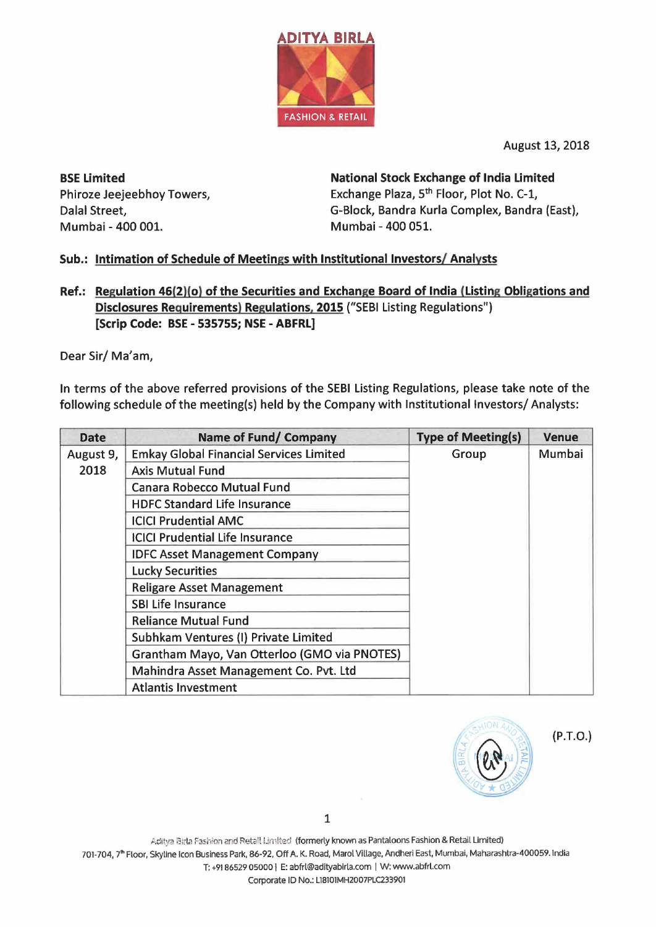

August 13, 2018

BSE Limited Phiroze Jeejeebhoy Towers, Dalal Street, Mumbai - 400 001.

National Stock Exchange of India Limited Exchange Plaza, 5<sup>th</sup> Floor, Plot No. C-1, G-Slock, Sandra Kurla Complex, Sandra (East), Mumbai - 400 051.

## Sub.: Intimation of Schedule of Meetings with Institutional Investors/ Analysts

Ref.: Regulation 46(2){o) of the Securities and Exchange Board of India (Listing Obligations and Disclosures Requirements) Regulations, 2015 ("SESI Listing Regulations") [Scrip Code: BSE - 535755; NSE - ABFRL]

Dear Sir/ Ma'am,

In terms of the above referred provisions of the SESI Listing Regulations, please take note of the following schedule of the meeting(s) held by the Company with Institutional Investors/ Analysts:

| <b>Date</b>       | Name of Fund/ Company                          | <b>Type of Meeting(s)</b> | <b>Venue</b> |
|-------------------|------------------------------------------------|---------------------------|--------------|
| August 9,<br>2018 | <b>Emkay Global Financial Services Limited</b> | Group                     | Mumbai       |
|                   | <b>Axis Mutual Fund</b>                        |                           |              |
|                   | <b>Canara Robecco Mutual Fund</b>              |                           |              |
|                   | <b>HDFC Standard Life Insurance</b>            |                           |              |
|                   | <b>ICICI Prudential AMC</b>                    |                           |              |
|                   | <b>ICICI Prudential Life Insurance</b>         |                           |              |
|                   | <b>IDFC Asset Management Company</b>           |                           |              |
|                   | <b>Lucky Securities</b>                        |                           |              |
|                   | <b>Religare Asset Management</b>               |                           |              |
|                   | <b>SBI Life Insurance</b>                      |                           |              |
|                   | <b>Reliance Mutual Fund</b>                    |                           |              |
|                   | Subhkam Ventures (I) Private Limited           |                           |              |
|                   | Grantham Mayo, Van Otterloo (GMO via PNOTES)   |                           |              |
|                   | Mahindra Asset Management Co. Pvt. Ltd         |                           |              |
|                   | <b>Atlantis Investment</b>                     |                           |              |



(P.T.O.)

1

Aditya Birla Fashion and Retail Limited (formerly known as Pantaloons Fashion & Retail Limited) 701-704, 7<sup>th</sup> Floor, Skyline Icon Business Park, 86-92, Off A. K. Road, Marol Village, Andheri East, Mumbai, Maharashtra-400059. India

T: +91 86529 05000 I E: abfrl@adityabirla.com I W: www.abfrl.com

Corporate ID No.: L18101MH2007PLC233901